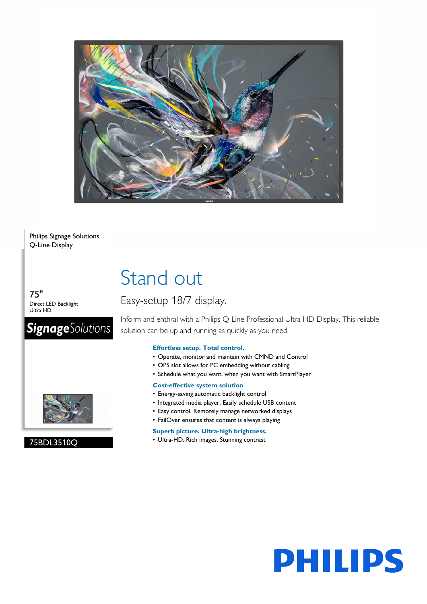

### Philips Signage Solutions Q-Line Display

75" Direct LED Backlight Ultra HD

## **SignageSolutions**



### 75BDL3510Q

# Stand out

### Easy-setup 18/7 display.

Inform and enthral with a Philips Q-Line Professional Ultra HD Display. This reliable solution can be up and running as quickly as you need.

### **Effortless setup. Total control.**

- Operate, monitor and maintain with CMND and Control
- OPS slot allows for PC embedding without cabling
- Schedule what you want, when you want with SmartPlayer

### **Cost-effective system solution**

- Energy-saving automatic backlight control
- Integrated media player. Easily schedule USB content
- Easy control. Remotely manage networked displays
- FailOver ensures that content is always playing

### **Superb picture. Ultra-high brightness.**

• Ultra-HD. Rich images. Stunning contrast

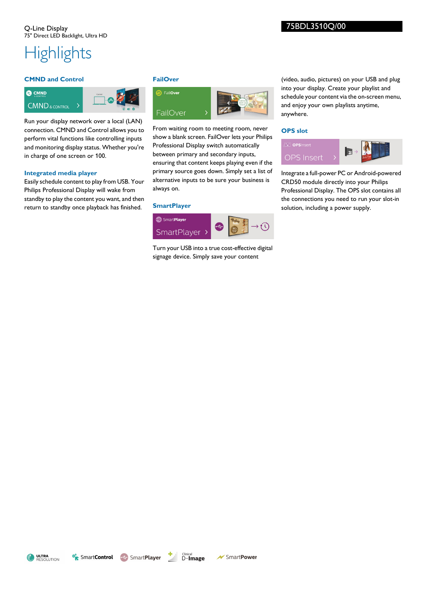# **Highlights**

### **CMND and Control**



Run your display network over a local (LAN) connection. CMND and Control allows you to perform vital functions like controlling inputs and monitoring display status. Whether you're in charge of one screen or 100.

### **Integrated media player**

Easily schedule content to play from USB. Your Philips Professional Display will wake from standby to play the content you want, and then return to standby once playback has finished.

### **FailOver**



From waiting room to meeting room, never show a blank screen. FailOver lets your Philips Professional Display switch automatically between primary and secondary inputs, ensuring that content keeps playing even if the primary source goes down. Simply set a list of alternative inputs to be sure your business is always on.

### **SmartPlayer**



Turn your USB into a true cost-effective digital signage device. Simply save your content

(video, audio, pictures) on your USB and plug into your display. Create your playlist and schedule your content via the on-screen menu, and enjoy your own playlists anytime, anywhere.

### **OPS slot**



Integrate a full-power PC or Android-powered CRD50 module directly into your Philips Professional Display. The OPS slot contains all the connections you need to run your slot-in solution, including a power supply.